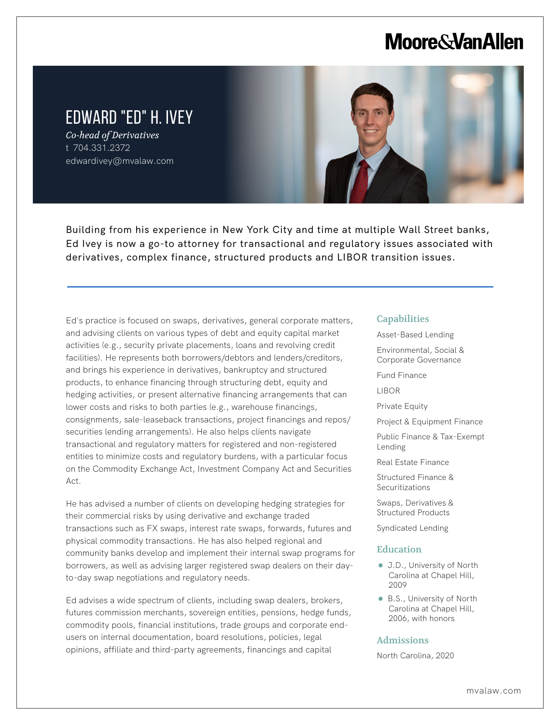# **Moore & Van Allen**

# EDWARD "ED" H. IVEY

*Co-head of Derivatives* t 704.331.2372 edwardivey@mvalaw.com

L



Building from his experience in New York City and time at multiple Wall Street banks, Ed Ivey is now a go-to attorney for transactional and regulatory issues associated with derivatives, complex finance, structured products and LIBOR transition issues.

Ed's practice is focused on swaps, derivatives, general corporate matters, and advising clients on various types of debt and equity capital market activities (e.g., security private placements, loans and revolving credit facilities). He represents both borrowers/debtors and lenders/creditors, and brings his experience in derivatives, bankruptcy and structured products, to enhance financing through structuring debt, equity and hedging activities, or present alternative financing arrangements that can lower costs and risks to both parties (e.g., warehouse financings, consignments, sale-leaseback transactions, project financings and repos/ securities lending arrangements). He also helps clients navigate transactional and regulatory matters for registered and non-registered entities to minimize costs and regulatory burdens, with a particular focus on the Commodity Exchange Act, Investment Company Act and Securities Act.

He has advised a number of clients on developing hedging strategies for their commercial risks by using derivative and exchange traded transactions such as FX swaps, interest rate swaps, forwards, futures and physical commodity transactions. He has also helped regional and community banks develop and implement their internal swap programs for borrowers, as well as advising larger registered swap dealers on their dayto-day swap negotiations and regulatory needs.

Ed advises a wide spectrum of clients, including swap dealers, brokers, futures commission merchants, sovereign entities, pensions, hedge funds, commodity pools, financial institutions, trade groups and corporate endusers on internal documentation, board resolutions, policies, legal opinions, affiliate and third-party agreements, financings and capital

#### **Capabilities**

- Asset-Based Lending
- Environmental, Social & Corporate Governance

Fund Finance

LIBOR

Private Equity

Project & Equipment Finance

Public Finance & Tax-Exempt Lending

Real Estate Finance

Structured Finance & **Securitizations** 

Swaps, Derivatives & Structured Products

Syndicated Lending

#### Education

- J.D., University of North Carolina at Chapel Hill, 2009
- B.S., University of North Carolina at Chapel Hill, 2006, with honors

#### Admissions

North Carolina, 2020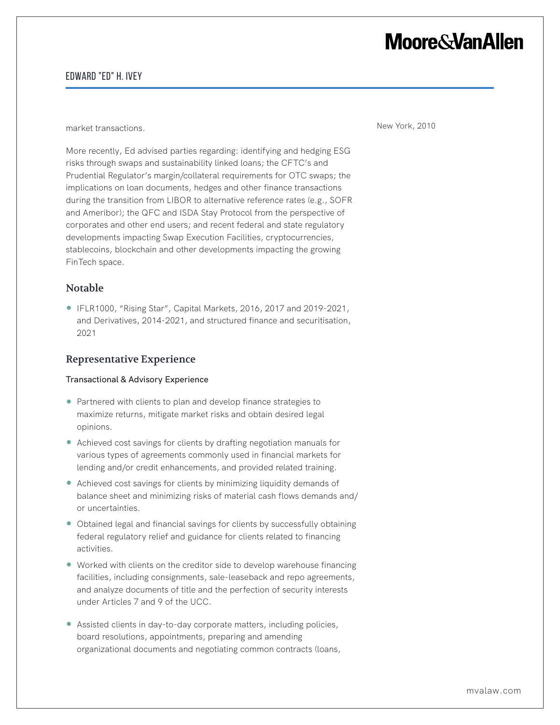# **Moore&VanAllen**

## Edward "Ed" H. Ivey

market transactions. New York, 2010

More recently, Ed advised parties regarding: identifying and hedging ESG risks through swaps and sustainability linked loans; the CFTC's and Prudential Regulator's margin/collateral requirements for OTC swaps; the implications on loan documents, hedges and other finance transactions during the transition from LIBOR to alternative reference rates (e.g., SOFR and Ameribor); the QFC and ISDA Stay Protocol from the perspective of corporates and other end users; and recent federal and state regulatory developments impacting Swap Execution Facilities, cryptocurrencies, stablecoins, blockchain and other developments impacting the growing FinTech space.

## Notable

● IFLR1000, "Rising Star", Capital Markets, 2016, 2017 and 2019-2021, and Derivatives, 2014-2021, and structured finance and securitisation, 2021

## Representative Experience

#### Transactional & Advisory Experience

- Partnered with clients to plan and develop finance strategies to maximize returns, mitigate market risks and obtain desired legal opinions.
- Achieved cost savings for clients by drafting negotiation manuals for various types of agreements commonly used in financial markets for lending and/or credit enhancements, and provided related training.
- Achieved cost savings for clients by minimizing liquidity demands of balance sheet and minimizing risks of material cash flows demands and/ or uncertainties.
- Obtained legal and financial savings for clients by successfully obtaining federal regulatory relief and guidance for clients related to financing activities.
- Worked with clients on the creditor side to develop warehouse financing facilities, including consignments, sale-leaseback and repo agreements, and analyze documents of title and the perfection of security interests under Articles 7 and 9 of the UCC.
- Assisted clients in day-to-day corporate matters, including policies, board resolutions, appointments, preparing and amending organizational documents and negotiating common contracts (loans,